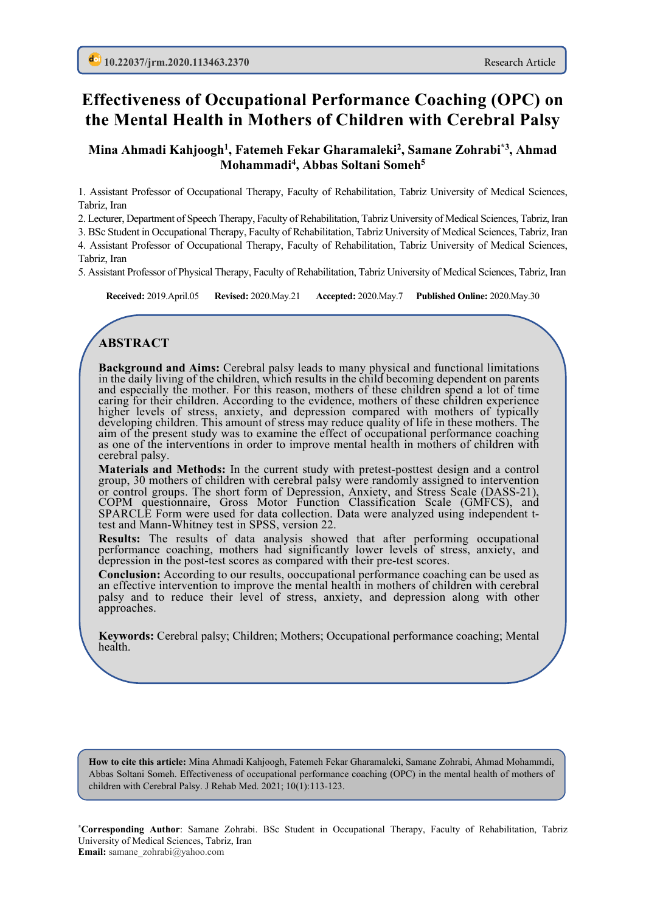# **Effectiveness of Occupational Performance Coaching (OPC) on the Mental Health in Mothers of Children with Cerebral Palsy**

#### **Mina Ahmadi Kahjoogh1, Fatemeh Fekar Gharamaleki2, Samane Zohrabi\*3, Ahmad Mohammadi4 , Abbas Soltani Someh5**

1. Assistant Professor of Occupational Therapy, Faculty of Rehabilitation, Tabriz University of Medical Sciences, Tabriz, Iran

2. Lecturer, Department of Speech Therapy, Faculty of Rehabilitation, Tabriz University of Medical Sciences, Tabriz, Iran

3. BSc Student in Occupational Therapy, Faculty of Rehabilitation, Tabriz University of Medical Sciences, Tabriz, Iran 4. Assistant Professor of Occupational Therapy, Faculty of Rehabilitation, Tabriz University of Medical Sciences, Tabriz, Iran

5. Assistant Professor of Physical Therapy, Faculty of Rehabilitation, Tabriz University of Medical Sciences, Tabriz, Iran

**Received:** 2019.April.05 **Revised:** 2020.May.21 **Accepted:** 2020.May.7 **Published Online:** 2020.May.30

# **ABSTRACT**

**Background and Aims:** Cerebral palsy leads to many physical and functional limitations in the daily living of the children, which results in the child becoming dependent on parents and especially the mother. For this reason, mothers of these children spend a lot of time caring for their children. According to the evidence, mothers of these children experience higher levels of stress, anxiety, and depression compared with mothers of typically developing children. This amount of stress may reduce quality of life in these mothers. The aim of the present study was to examine the effect of occupational performance coaching as one of the interventions in order to improve mental health in mothers of children with cerebral palsy.

**Materials and Methods:** In the current study with pretest-posttest design and a control group, 30 mothers of children with cerebral palsy were randomly assigned to intervention or control groups. The short form of Depression, Anxiety, and Stress Scale (DASS-21), COPM questionnaire, Gross Motor Function Classification Scale (GMFCS), and SPARCLE Form were used for data collection. Data were analyzed using independent t- test and Mann-Whitney test in SPSS, version 22.

**Results:** The results of data analysis showed that after performing occupational performance coaching, mothers had significantly lower levels of stress, anxiety, and depression in the post-test scores as compared with their pre-test scores.

**Conclusion:** According to our results, ooccupational performance coaching can be used as an effective intervention to improve the mental health in mothers of children with cerebral palsy and to reduce their level of stress, anxiety, and depression along with other approaches.

**Keywords:** Cerebral palsy; Children; Mothers; Occupational performance coaching; Mental health.

**How to cite this article:** Mina Ahmadi Kahjoogh, Fatemeh Fekar Gharamaleki, Samane Zohrabi, Ahmad Mohammdi, Abbas Soltani Someh. Effectiveness of occupational performance coaching (OPC) in the mental health of mothers of children with Cerebral Palsy. J Rehab Med. 2021; 10(1):113-123.

**\*Corresponding Author**: Samane Zohrabi. BSc Student in Occupational Therapy, Faculty of Rehabilitation, Tabriz University of Medical Sciences, Tabriz, Iran **Email:** samane\_zohrabi@yahoo.com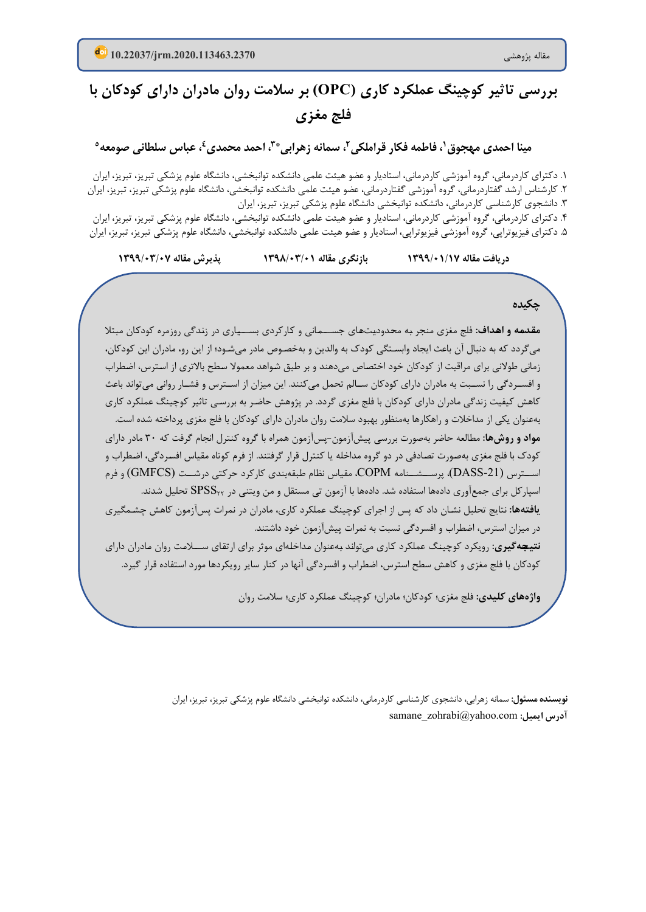# **بررسی تاثیر کوچینگ عملکرد کاري ( OPC (بر سلامت روان مادران داراي کودکان با فلج مغزي**

**5 ، عباس سلطانی صومعه \* ،3 احمد محمدي4 ، سمانه زهرابی ،1 فاطمه فکار قراملکی2 مینا احمدي مهجوق**

1. دکترای کاردرمانی، گروه آموزشی کاردرمانی، استادیار و عضو هیئت علمی دانشکده توانبخشی، دانشگاه علوم پزشکی تبریز، تبریز، ایران ۲. کارشناس ارشد گفتاردرمانی، گروه آموزشی گفتاردرمانی، عضو هیئت علمی دانشکده توانبخشی، دانشگاه علوم پزشکی تبریز، تبریز، ایران .3 دانشجوي کارشناسی کاردرمانی، دانشکده توانبخشی دانشگاه علوم پزشکی تبریز، تبریز، ایران ۴. دکترای کاردرمانی، گروه آموزشی کاردرمانی، استادیار و عضو هیئت علمی دانشکده توانبخشی، دانشگاه علوم پزشکی تبریز، تبریز، ایران ۵. دکترای فیزیوتراپی، گروه آموزشی فیزیوتراپی، استادیار و عضو هیئت علمی دانشکده توانبخشی، دانشگاه علوم پزشکی تبریز، تبریز، ایران

**دریافت مقاله /17 1399/01 بازنگري مقاله 1398/03/01 پذیرش مقاله 1399/03/07**

**چکیده**

**مقـدمـه و اهـداف:** فلج مغزي منجر بـه محـدودیـتهـاي جســـمـانی و کـارکردي بســـیـاري در زنـدگی روزمره کودکـان مبتلا میگردد که به دنبال آن باعث ایجاد وابسـتگی کودك به والدین و بهخصـوص مادر میشـود؛ از این رو، مادران این کودکان، زمانی طولانی براي مراقبت از کودکان خود اختصـاص میدهند و بر طبق شـواهد معمولا سـطح بالاتري از اسـترس، اضـطراب و افســردگی را نســبت به مادران داراي کودکان ســالم تحمل میکنند. این میزان از اســترس و فشــار روانی میتواند باعث کاهش کیفیت زندگی مادران داراي کودکان با فلج مغزي گردد. در پژوهش حاضـر به بررسـی تاثیر کوچینگ عملکرد کاري بهعنوان یکی از مداخلات و راهکارها بهمنظور بهبود سلامت روان مادران داراي کودکان با فلج مغزي پرداخته شده است. **مواد و روشها:** مطالعه حاضر بهصورت بررسی پیشآزمون-پسآزمون همراه با گروه کنترل انجام گرفت که 30 مادر داراي کودك با فلج مغزي بهصـورت تصـادفی در دو گروه مداخله یا کنترل قرار گرفتند. از فرم کوتاه مقیاس افسـردگی، اضـطراب و اســترس (-21DASS(، پرســشــنامه COPM، مقیاس نظام طبقهبندي کارکرد حرکتی درشــت (GMFCS (و فرم اسپارکل براي جمعآوري دادهها استفاده شد. دادهها با آزمون تی مستقل و من ویتنی در 22SPSS تحلیل شدند. **یافتهها:** نتایج تحلیل نشـان داد که پس از اجراي کوچینگ عملکرد کاري، مادران در نمرات پسآزمون کاهش چشـمگیري در میزان استرس، اضطراب و افسردگی نسبت به نمرات پیشآزمون خود داشتند. **نتیجـهگیري:** رویکرد کوچینـگ عملکرد کـاري میتوانـد بـهعنوان مـداخلـهاي موثر براي ارتقـاي ســـلامـت روان مـادران داراي کودکان با فلج مغزي و کاهش سطح استرس، اضطراب و افسردگی آنها در کنار سایر رویکردها مورد استفاده قرار گیرد.

**واژههاي کلیدي:** فلج مغزي ؛ کودکان؛ مادران؛ کوچینگ عملکرد کاري ؛ سلامت روان

**نویسنده مسئول:** سمانه زهرابی ، دانشجوي کارشناسی کاردرمانی، دانشکده توانبخشی دانشگاه علوم پزشکی تبریز، تبریز، ایران samane\_zohrabi@yahoo.com **:ایمیل آدرس**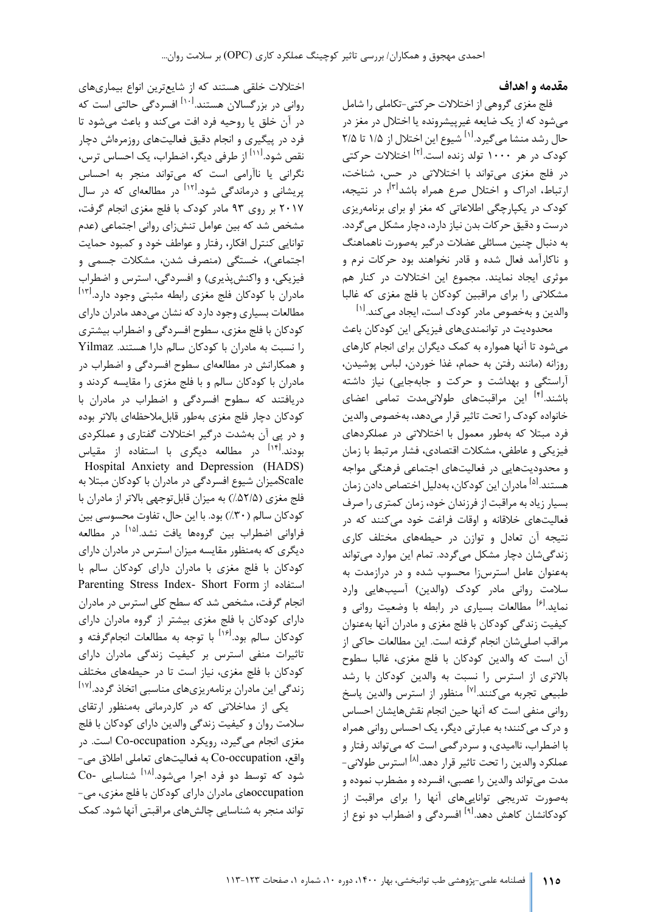#### **مقدمه و اهداف**

فلج مغزي گروهی از اختلالات حرکتی-تکاملی را شامل میشود که از یک ضایعه غیرپیشرونده یا اختلال در مغز در حال رشد منشا می *گ*یرد.<sup>[۱]</sup> شیوع این اختلال از ۱/۵ تا ۲/۵ کودک در هر ۱۰۰۰ تولد زنده است.<sup>[۲]</sup> اختلالات حرکتی در فلج مغزي میتواند با اختلالاتی در حس، شناخت، ارتباط، ادراک و اختلال صرع همراه باشد<sup>ا۳]</sup>؛ در نتیجه، کودك در یکپارچگی اطلاعاتی که مغز او براي برنامهریزي درست و دقیق حرکات بدن نیاز دارد، دچار مشکل میگردد. به دنبال چنین مسائلی عضلات درگیر به صورت ناهماهنگ و ناکارآمد فعال شده و قادر نخواهند بود حرکات نرم و موثري ایجاد نمایند. مجموع این اختلالات در کنار هم مشکلاتی را براي مراقبین کودکان با فلج مغزي که غالبا والدین و بهخصوص مادر کودک است، ایجاد می *ک*ند.<sup>[۱]</sup>

محدودیت در توانمندي هاي فیزیکی این کودکان باعث میشود تا آنها همواره به کمک دیگران براي انجام کارهاي روزانه (مانند رفتن به حمام، غذا خوردن، لباس پوشیدن، آراستگی و بهداشت و حرکت و جابهجایی) نیاز داشته باشند.<sup>[۴]</sup> این مراقبتهای طولانیٖمدت تمامی اعضای خانواده کودك را تحت تاثیر قرار میدهد، بهخصوص والدین فرد مبتلا که به طور معمول با اختلالاتی در عملکردهاي فیزیکی و عاطفی، مشکلات اقتصادي، فشار مرتبط با زمان و محدودیتهایی در فعالیتهاي اجتماعی فرهنگی مواجه هستند.<sup>ا۵]</sup> مادران این کودکان، بهدلیل اختصاص دادن زمان بسیار زیاد به مراقبت از فرزندان خود، زمان کمتري را صرف فعالیتهاي خلاقانه و اوقات فراغت خود میکنند که در نتیجه آن تعادل و توازن در حیطههاي مختلف کاري زندگیشان دچار مشکل میگردد. تمام این موارد میتواند بهعنوان عامل استرسزا محسوب شده و در درازمدت به سلامت روانی مادر کودك (والدین) آسیبهایی وارد نماید.<sup>[۶]</sup> مطالعات بسیاری در رابطه با وضعیت روانی و کیفیت زندگی کودکان با فلج مغزي و مادران آنها بهعنوان مراقب اصلیشان انجام گرفته است. این مطالعات حاکی از آن است که والدین کودکان با فلج مغزي، غالبا سطوح بالاتري از استرس را نسبت به والدین کودکان با رشد طبیعی تجربه میکنند.<sup>[۷]</sup> منظور از استرس والدین پاسخ روانی منفی است که آنها حین انجام نقشهایشان احساس و درك میکنند؛ به عبارتی دیگر، یک احساس روانی همراه با اضطراب، ناامیدي، و سردرگمی است که میتواند رفتار و عملکرد والدین را تحت تاثیر قرار دهد.<sup>[۸]</sup> استرس طولانی-مدت میتواند والدین را عصبی، افسرده و مضطرب نموده و بهصورت تدریجی تواناییهاي آنها را براي مراقبت از کودکانشان کاهش دهد.<sup>[۹]</sup> افسردگی و اضطراب دو نوع از

اختلالات خلقی هستند که از شایعترین انواع بیماري هاي روانی در بزرگسالان هستند.<sup>[۱۰]</sup> افسردگی حالتی است که در آن خلق یا روحیه فرد افت میکند و باعث میشود تا فرد در پیگیري و انجام دقیق فعالیتهاي روزمرهاش دچار نقص شود.<sup>[۱۱]</sup> از طرفی دیگر، اضطراب، یک احساس ترس، نگرانی یا ناآرامی است که میتواند منجر به احساس پریشانی و درماندگی شود.<sup>[۱۲]</sup> در مطالعهای که در سال 2017 بر روي 93 مادر کودك با فلج مغزي انجام گرفت، مشخص شد که بین عوامل تنشزاي روانی اجتماعی (عدم توانایی کنترل افکار، رفتار و عواطف خود و کمبود حمایت اجتماعی)، خستگی (منصرف شدن، مشکلات جسمی و فیزیکی، و واکنشپذیري) و افسردگی، استرس و اضطراب مادران با کودکان فلج مغزی رابطه مثبتی وجود دارد.<sup>[۱۳]</sup> مطالعات بسیاري وجود دارد که نشان میدهد مادران داراي کودکان با فلج مغزي، سطوح افسردگی و اضطراب بیشتري را نسبت به مادران با کودکان سالم دارا هستند. Yilmaz و همکارانش در مطالعهاي سطوح افسردگی و اضطراب در مادران با کودکان سالم و با فلج مغزي را مقایسه کردند و دریافتند که سطوح افسردگی و اضطراب در مادران با کودکان دچار فلج مغزي بهطور قابلملاحظهاي بالاتر بوده و در پی آن بهشدت درگیر اختلالات گفتاري و عملکردي بودند.<sup>[۱۴]</sup> در مطالعه دیگری با استفاده از مقیاس Hospital Anxiety and Depression (HADS) Scaleمیزان شیوع افسردگی در مادران با کودکان مبتلا به فلج مغزي (%52/5) به میزان قابل توجهی بالاتر از مادران با کودکان سالم (%30) بود. با این حال، تفاوت محسوسی بین فراوانی اضطراب بین گروهها یافت نشد.<sup>[۱۵]</sup> در مطالعه دیگري که بهمنظور مقایسه میزان استرس در مادران داراي کودکان با فلج مغزي با مادران داراي کودکان سالم با Parenting Stress Index- Short Form استفاده از انجام گرفت، مشخص شد که سطح کلی استرس در مادران داراي کودکان با فلج مغزي بیشتر از گروه مادران داراي کودکان سالم بود.<sup>[۱۶]</sup> با توجه به مطالعات انجامگرفته و تاثیرات منفی استرس بر کیفیت زندگی مادران داراي کودکان با فلج مغزي، نیاز است تا در حیطههاي مختلف زندگی این مادران برنامهریزیهای مناسبی اتخاذ گردد.<sup>[۱۷]</sup> یکی از مداخلاتی که در کاردرمانی به منظور ارتقاي

سلامت روان و کیفیت زندگی والدین داراي کودکان با فلج مغزي انجام میگیرد، رویکرد occupation-Co است. در واقع، occupation-Co به فعالیتهاي تعاملی اطلاق می- شود که توسط دو فرد اجرا می شود.<sup>[۱۸]</sup> شناسایی -Co occupationهاي مادران داراي کودکان با فلج مغزي، می- تواند منجر به شناسایی چالشهاي مراقبتی آنها شود. کمک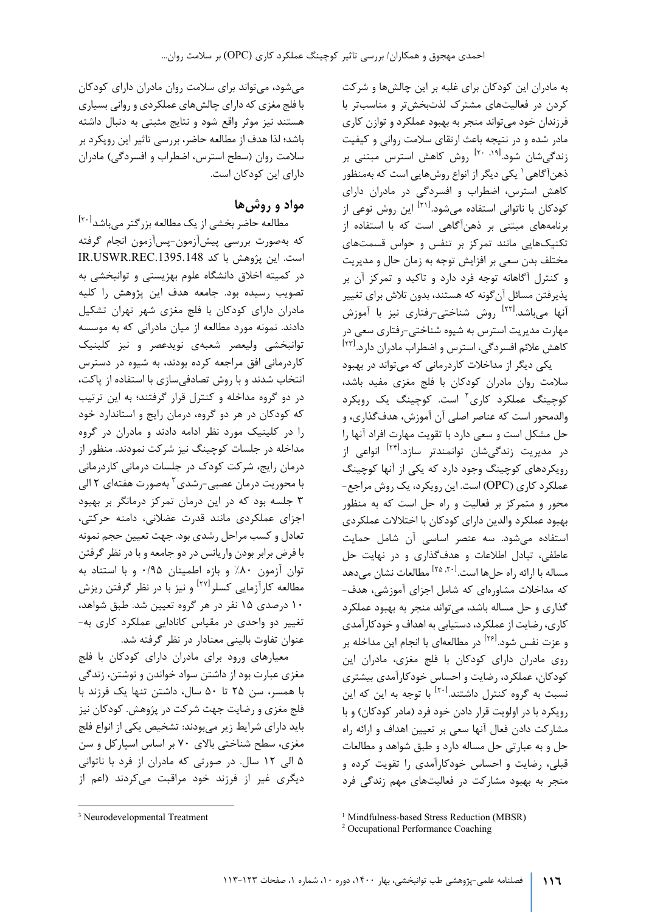به مادران این کودکان براي غلبه بر این چالشها و شرکت کردن در فعالیت هاي مشترك لذتبخشتر و مناسبتر با فرزندان خود می تواند منجر به بهبود عملکرد و توازن کاري مادر شده و در نتیجه باعث ارتقاي سلامت روانی و کیفیت زندگی شان شود.<sup>[۱۹ .۱۹]</sup> روش کاهش استرس مبتنی بر ذهنآگاهی' یکی دیگر از انواع روشهایی است که بهمنظور کاهش استرس، اضطراب و افسردگی در مادران داراي کودکان با ناتوانی استفاده میشود.<sup>[۲۱]</sup> این روش نوعی از برنامههاي مبتنی بر ذهنآگاهی است که با استفاده از تکنیکهایی مانند تمرکز بر تنفس و حواس قسمتهاي مختلف بدن سعی بر افزایش توجه به زمان حال و مدیریت و کنترل آگاهانه توجه فرد دارد و تاکید و تمرکز آن بر پذیرفتن مسا ئل آنگونه که هستند، بدون تلاش براي تغییر آنها می،باشد.<sup>[۲۲]</sup> روش شناختی-رفتاری نیز با آموزش مهارت مدیریت استرس به شیوه شناختی-رفتاري سعی در کاهش علائم افسردگی، استرس و اضطراب مادران دارد.<sup>[۲۲]</sup>

یکی دیگر از مداخلات کاردرمانی که میتواند در بهبود سلامت روان مادران کودکان با فلج مغزي مفید باشد، کوچینگ عملکرد کا<sub>ر</sub>ی<sup>۲</sup> است. کوچینگ یک <sub>ر</sub>ویکرد والدمحور است که عناصر اصلی آن آموزش، هدفگذاري، و حل مشکل است و سعی دارد با تقویت مهارت افراد آنها را در مدیریت زندگی.شان توانمندتر سازد.<sup>[۲۴]</sup> انواعی از رویکردهاي کوچینگ وجود دارد که یکی از آنها کوچینگ عملکرد کاري ( OPC (است. این رویکرد، یک روش مراجع- محور و متمرکز بر فعالیت و راه حل است که به منظور بهبود عملکرد والدین داراي کودکان با اختلالات عملکردي استفاده می شود. سه عنصر اساسی آن شامل حمایت عاطفی، تبادل اطلاعات و هدفگذاري و در نهایت حل مساله با ارائه راه حلها است.<sup>[۲۵</sup>٫۲۰] مطالعات نشان میدهد که مداخلات مشاورهاي که شامل اجزاي آموزشی، هدف- گذاري و حل مساله باشد، میتواند منجر به بهبود عملکرد کاري، رضایت از عملکرد، دستیابی به اهداف و خودکارآمدي و عزت نفس شود.<sup>[۲۶]</sup> در مطالعهای با انجام این مداخله بر روي مادران داراي کودکان با فلج مغزي، مادران این کودکان، عملکرد، رضایت و احساس خودکارآمدي بیشتري نسبت به گروه کنترل داشتند.<sup>[۲۰]</sup> با توجه به این که این رویکرد با در اولویت قرار دادن خود فرد (مادر کودکان) و با مشارکت دادن فعال آنها سعی بر تعیین اهداف و ارائه راه حل و به عبارتی حل مساله دارد و طبق شواهد و مطالعات قبلی، رضایت و احساس خودکارآمدي را تقویت کرده و منجر به بهبود مشارکت در فعالیتهاي مهم زندگی فرد

میشود، میتواند براي سلامت روان مادران داراي کودکان با فلج مغزي که داراي چالشهاي عملکردي و روانی بسیاري هستند نیز موثر واقع شود و نتایج مثبتی به دنبال داشته باشد؛ لذا هدف از مطالعه حاضر، بررسی تاثیر این رویکرد بر سلامت روان (سطح استرس، اضطراب و افسردگی) مادران داراي این کودکان است.

# **مواد و روش ها**

مطالعه حاضر بخشی از یک مطالعه بزرگتر میباشد<sup>[۲۰]</sup> که بهصورت بررسی پیشآزمون-پسآزمون انجام گرفته است. این پژوهش با کد IR.USWR.REC.1395.148 در کمیته اخلاق دانشگاه علوم بهزیستی و توانبخشی به تصویب رسیده بود. جامعه هدف این پژوهش را کلیه مادران داراي کودکان با فلج مغزي شهر تهران تشکیل دادند. نمونه مورد مطالعه از میان مادرانی که به موسسه توانبخشی ولیعصر شعبه ي نویدعصر و نیز کلینیک کاردرمانی افق مراجعه کرده بودند، به شیوه در دسترس انتخاب شدند و با روش تصادفی سازي با استفاده از پاکت، در دو گروه مداخله و کنترل قرار گرفتند ؛ به این ترتیب که کودکان در هر دو گروه، درمان رایج و استاندارد خود را در کلینیک مورد نظر ادامه دادند و مادران در گروه مداخله در جلسات کوچینگ نیز شرکت نمودند. منظور از درمان رایج، شرکت کودك در جلسات درمانی کاردرمانی بامحوريت درمان عصبي-رشدي<sup>۳</sup> بهصورت هفتهاي ۲ الي 3 جلسه بود که در این درمان تمرکز درمانگر بر بهبود اجزای عملکردی مانند قدرت عضلانی، دامنه حرکتی، تعادل و کسب مراحل رشدي بود. جهت تعیین حجم نمونه با فرض برابر بودن واریانس در دو جامعه و با در نظر گرفتن توان آزمون %80 و بازه اطمینان /95 0 و با استناد به مطالعه کارآزمایی کسلر<sup>[۲۷]</sup> و نیز با در نظر گرفتن ریزش 10 درصدي 15 نفر در هر گروه تعیین شد. طبق شواهد، تغییر دو واحدي در مقیاس کانادایی عملکرد کاري به - عنوان تفاوت بالینی معنادار در نظر گرفته شد.

م عیار هاي ورود براي مادران داراي کودکان با فلج مغزي عبارت بود از داشتن سواد خواندن و نوشتن، زندگی با همس ر، سن 25 تا 50 سال، داشتن تنها یک فرزند با فلج مغزي و رضایت جهت شرکت در پژوهش. کودکان نیز باید داراي شرایط زیر می بودند: تشخیص یکی از انواع فلج مغزي، سطح شناختی بالاي 70 بر اساس اسپارکل و سن 5 الی 12 سال. در صورتی که مادران از فرد با ناتوانی دیگري غیر از ف رزند خود مراقبت می کردند (اعم از

<span id="page-3-1"></span><span id="page-3-0"></span><sup>3</sup> Neurodevelopmental Treatment

<sup>&</sup>lt;sup>1</sup> Mindfulness-based Stress Reduction (MBSR)

<sup>2</sup> Occupational Performance Coaching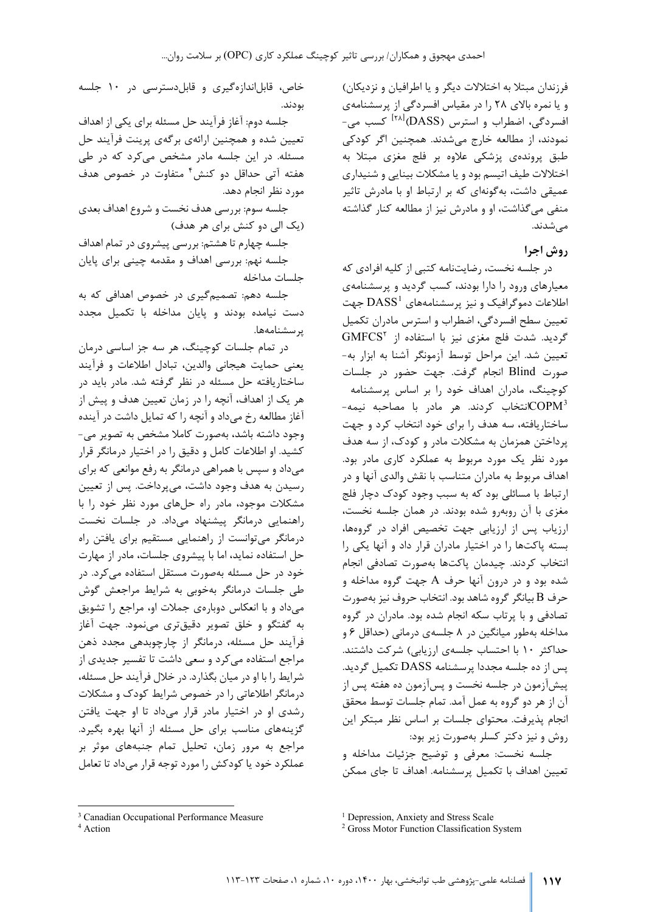فرزندان مبتلا به اختلالات دیگر و یا اطرافیان و نزدیکان) و یا نمره بالاي 28 را در مقیاس افسردگی از پرسشنامه ي افسردگی، اضطراب و استرس (DASS) <sup>[۲۸]</sup> کسب می-ن مودند، از مطالعه خارج می شدند. همچنین اگر کودکی طبق پرونده ي پزشکی علاوه بر فلج مغزی مبتلا به اختلالات طیف اتیسم بود و یا مشکلات بینایی و شنیداري عمیقی داشت ، به گونه اي که بر ارتباط او با مادرش تاثیر منفی می گذاشت، او و مادرش نیز از مطالعه کنار گذاشته می شدند.

#### **روش اجرا**

در جلسه نخست، رضایت نامه کتبی از کلیه افرادي که معیارهاي ورود را دارا بودند، کسب گردید و پرسشنامه ي اطلاعات دموگرافیک و نیز پرسشنامههای  $\mathrm{DASS}^1$  $\mathrm{DASS}^1$  $\mathrm{DASS}^1$  جهت تعیین سطح افسردگی، اضطراب و استرس مادران تکمیل GMFCS [2](#page-4-1) گردید. شدت فلج مغزي نیز با استفاده از تعیین شد. این مراحل توسط آزمونگر آشنا به ابزار به - صورت Blind انجام گرفت. جهت حضور در جلسات کوچینگ ، مادران اهداف خود را بر اساس پرسشنامه -انتخاب کردند. هر مادر با مصاحبه نیمه $\mathbf{COPM}^3$  $\mathbf{COPM}^3$  $\mathbf{COPM}^3$ س اختاریافته، سه هدف را براي خود انتخاب کرد و جهت پرداختن همزمان به مشکلات مادر و کودك، از سه هدف مورد نظر یک مورد مربوط به عملکرد کاري مادر بود. اهداف مربوط به مادران متناسب با نقش والدي آنها و در ارتباط با مسائلی بود که به سبب وجود کودک دچار فلج مغزي با آن روبه رو شده بودند. در همان جلسه نخست، ارزیاب پس از ارزیابی جهت تخصیص افراد در گروهها، بسته پاکت ها را در اختیار مادران قرار داد و آنها یکی را انتخاب کردند. چیدمان پاکت ها به صورت تصادفی انجام شده بود و در درون آنها حرف A جهت گروه مداخله و حرف B بیانگر گروه شاهد بود. انتخاب حروف نیز به صورت تصادفی و با پرتاب سکه انجام شده بود. مادران در گروه مداخله به طور میانگین در 8 جلسه ي درمانی (حداقل 6 و حداکثر ۱۰ با احتساب جلسهی ارزیابی) شرکت داشتند. پس از ده جلسه مجددا پرسشنامه DASS تکمیل گردید. پیش آزمون در جلسه نخست و پس آزمون ده هفته پس از آن از هر دو گروه به عمل آمد. تمام جلسات توسط محقق انجام پذیرفت. محتواي جلسات بر اساس نظر مبتکر این روش و نیز دکتر کسلر به صورت زیر بود:

جلسه نخست: معرفی و توضیح جزئیات مداخله و تعیین اهداف با تکمیل پرسشنامه. اهداف تا جاي ممکن

خاص، قابل اندازه گیري و قابل دسترسی در 10 جلسه بودند.

جلسه دوم: آغاز فر آ یند حل مسئله براي یکی از اهداف تعیین شده و همچنین ارائهی برگهی پرینت فرآیند حل مسئله. در این جلسه مادر مشخص می کرد که در طی هفته آتی حداقل دو کنش<sup>۴</sup> متفاوت در خصوص هدف مورد نظر انجام دهد.

جلسه سوم: بررسی هدف نخست و شروع اهداف بعدي (یک الی دو کنش براي هر هدف)

جلسه چهارم تا هشتم: بررسی پیشروي در تمام اهداف جلسه نهم: بررسی اهداف و مقدمه چینی براي پایان جلسات مداخله

جلسه دهم: تصمیم گیری در خصوص اهدافی که به دست نیامده بودند و پایان مداخله با تکمیل مجدد پرسشنامه [ها.](#page-4-1) 

در تمام جلسات کوچینگ، هر سه جز اساسی درمان یعنی حمایت هیجانی والدین، تبادل اطلاعات و فر آ یند ساختاریافته حل مسئله در نظر گرفته شد. مادر باید در هر یک از اهداف، آنچه را در زمان تعیین هدف و پ یش از آغاز مطالعه رخ می داد و آنچه را که تمایل داشت در آینده وجود داشته باشد، به صورت کاملا مشخص به تصویر می - کشید. او اطلاعات کامل و دقیق را در اختیار درمانگر قرار می داد و سپس با همراهی درمانگر به رفع موانعی که براي رسیدن به هدف وجود داشت، می پرداخت. پس ا ز تعیین مشکلات موجود، مادر راه حل هاي مورد نظر خود را با راهنمایی درمانگر پیشنهاد می داد. در جلسات نخست درمانگر می توانست از راهنمایی مستقیم براي یافتن راه حل استفاده نماید ، اما با پیشروي جلسات، مادر از مهارت خود در حل مسئله به صورت مستقل استفاده می کرد. د ر طی جلسات درمانگر به خوبی به شرایط مراجعش گوش می داد و با انعکاس دوباره ي جملات او، مراجع را تشویق به گفتگو و خلق تصویر دقیق تري می نمود. جهت آغاز فرآیند حل مسئله، درمانگر از چارچوبدهی مجدد ذهن مراجع استفاده می کرد و سعی داشت تا تفسیر جدیدي از شرایط را با او در میان بگذارد. در خلال فر آ یند حل مسئله، درمانگر اطلاعاتی را در خصوص شرایط کودك و مشکلات رشدي او در اختیار مادر قرار می داد تا او جهت یافتن گزینه هاي مناسب براي حل مسئله از آنها بهره بگیرد. مراجع به مرور زمان، تحلیل تمام جنبه هاي موثر بر عملکرد خود یا کودکش را مورد توجه قرار می داد تا تعامل

<span id="page-4-0"></span><sup>&</sup>lt;sup>3</sup> Canadian Occupational Performance Measure

<span id="page-4-1"></span><sup>4</sup> Action

<sup>&</sup>lt;sup>1</sup> Depression, Anxiety and Stress Scale

<sup>&</sup>lt;sup>2</sup> Gross Motor Function Classification System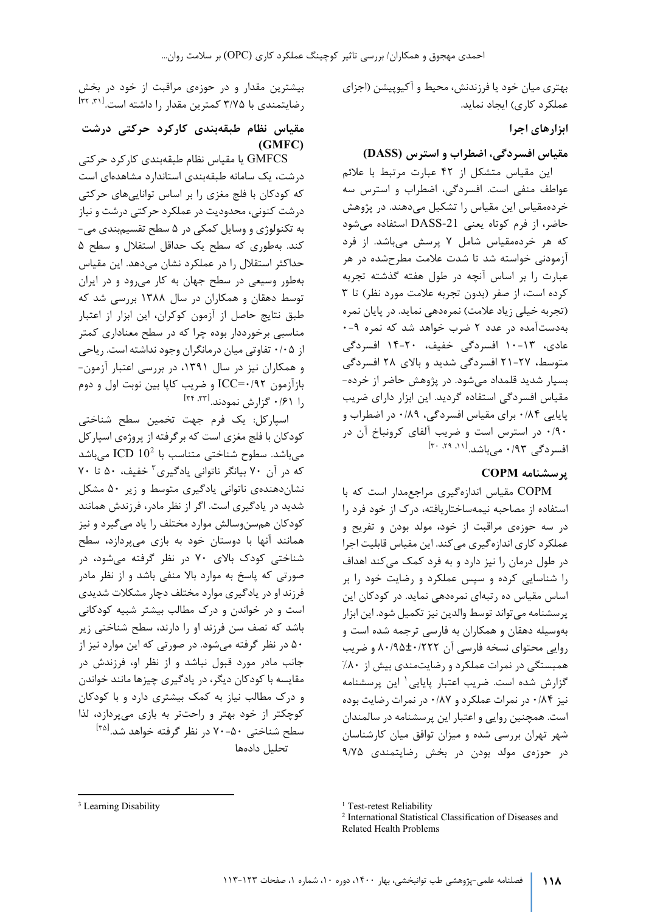بهتري میان خود یا فرزندنش، محیط و آکیوپیشن (اجزاي عملکرد کاري) ایجاد نماید.

**ابزارهاي اجرا** 

#### **مقیاس افسردگی، اضطراب و استرس (DASS(**

این مقیاس متشکل از 42 عبارت مرتبط با علائم عواطف منفی است. افسردگی، اضطراب و استرس سه خرده مقیاس این مقیاس را تشکیل می دهند. در پژوهش حاضر ، از فرم کوتاه یعنی -21DASS استفاده می شود که هر خرده مقیاس شامل 7 پرسش می باشد. از فرد آزمودنی خواسته شد تا شدت علامت مطرح شده در هر عبارت را بر اساس آنچه در طول هفته گذشته تجربه کرده است، از صفر (بدون تجربه علامت مورد نظر) تا ۳ (تجربه خیلی زیاد علامت) نمره دهی نماید. در پایان نمره به دست آمده در عدد 2 ضرب خواهد شد که نمره -9 0 عادي، -13 10 افسردگی خفیف، -20 14 افسردگی متوسط، ۲۷-۲۱ افسردگی شدید و بالای ۲۸ افسردگی بسیار شدید قلمداد می شود. در پژوهش حاضر از خر ده - مقیاس افسردگی استفاده گردید. این ابزار داراي ضریب پایایی /84 0 براي مقیاس افسردگی، /89 0 در اضطراب و /90 0 در استرس است و ضریب آلفاي کرونباخ آن در [ ,11 ,29 30] افسردگی /93 0 می باشد .

### **پرسشنامه COPM**

COPM مقیاس اندازه گیري مراجع مدار است که با استفاده از مصاحبه نیمه ساختاریافته، درك از خود فرد را در سه حوزه ي مراقبت از خود، مولد بودن و تفریح و عملکرد کاري اندازه گیري می کند. این مقیاس قابلیت اجرا در طول درمان را نیز دارد و به فرد کمک می کند اهداف را شناسایی کرده و سپس عملکرد و رضایت خود را بر اساس مقیاس ده رتبه اي نمره دهی نماید. در کودکان این پرسشنامه می تواند توسط والدین نیز تکمیل شود. این ابز ار به وسیله دهقان و همکاران به فارسی ترجمه شده است و روایی محتواي نسخه فارسی آن /222 ±0 /95 80 و ضریب همبستگی در نمرات عملکرد و رضایت مندي بیش از %80 گزارش شده است. ضریب اعتبار پایایی <sup>۱</sup> این پرسشنامه نیز /84 0 در نمرات عملکرد و /87 0 در نمرات رضایت بوده است. همچنین روایی و اعتبار این پرسشنامه در سالمندان شهر تهران بررسی شده و میزان توافق میان کارشناسان در حوزه ي مولد بودن در بخش رضایتمندی ۹/۷۵

بیشترین مقدار و در حوزهی مراقبت از خود در بخش رضایتمندی با ۳/۷۵ کمترین مقدار را داشته است.<sup>[۳۲</sup> <sup>۳۲]</sup>

## **مقیاس نظام طبقه بندي کارکرد حرکتی درشت (GMFC)**

GMFCS یا مقیاس نظام طبقه بندي کارکرد حرکتی درشت ، یک سامانه طبقه بندي استاندارد مشاهده اي است که کودکان با فلج مغزي را بر اساس توانایی هاي حرکتی درشت کنونی، محدودیت در عملکرد حرکتی درشت و نیاز به تکنولوژي و وسایل کمکی در 5 سطح تقسیم بندي می - کند. به طوري که سطح یک حداقل استقلال و سطح ۵ حداکثر استقلال را در عملکرد نشان می دهد. این مقیاس به طور وسیعی در سطح جهان به کار می رود و در ایران توسط دهقان و همکاران در سال 1388 بررسی شد که طبق نتایج حاصل از آزمون کوکران، این ابزار از اعتبار مناسبی برخورددار بوده چرا که در سطح معناداري کمتر از /05 0 تفاوتی میان درمانگران وجود نداشته است. ریاحی و همکاران نیز در سال ،1391 در بررسی اعتبار آزمون - ب ازآزمون /92 0=ICC و ضریب کاپا بین نوبت اول و دوم [ ,33 34] را /61 0 گزارش نمودند .

اسپارکل: یک فرم جهت تخمین سطح شناختی کودکان با فلج مغزي است که برگرفته از پروژه ي اسپارکل میباشد.سطوح شناختی متناسب با 20<sup>2</sup> ICD میباشد که در آن ۷۰ بیانگر ناتوانی یادگیری<sup>۳</sup> خفیف، ۵۰ تا ۷۰ نشان دهنده ي ناتوانی یادگیري متوسط و زیر 50 مشکل شدید در یادگیري است. اگر از نظر مادر ، فرزندش همانند کودکان هم سن و سالش موارد مختلف را یاد می گیرد و نیز همانند آنها با دوستان خود به بازي می پردازد، سطح شناختی کودک بالای ۷۰ در نظر گرفته میشود، در صورتی که پاسخ به موارد بالا منفی باشد و از نظر مادر فرزند او در یادگیري موارد مختلف دچار مشکلات شدیدي است و در خواندن و درك مطالب بیشتر شبیه کودکانی باشد که نصف سن فرزند او را دارند، سطح شناختی زیر ۵۰ در نظر گرفته میشود. در صورتی که این موارد نیز از جانب مادر مورد قبول نباشد و از نظر او، فرزندش در مقایسه با کودکان دیگر، در یادگیري چیزها مانند خواندن و درك مطالب نیاز به کمک بیشتري دارد و با کودکان کوچکتر از خود بهتر و راحتتر به بازی میپردازد، لذا سطح شناختی ۵۰-۷۰ در نظر گرفته خواهد شد.<sup>ا۳۵</sup> تحلیل داده ها

<sup>&</sup>lt;sup>1</sup> Test-retest Reliability

<sup>2</sup> International Statistical Classification of Diseases and Related Health Problems

<span id="page-5-1"></span><span id="page-5-0"></span><sup>&</sup>lt;sup>[3](#page-5-0)</sup> Learning Disability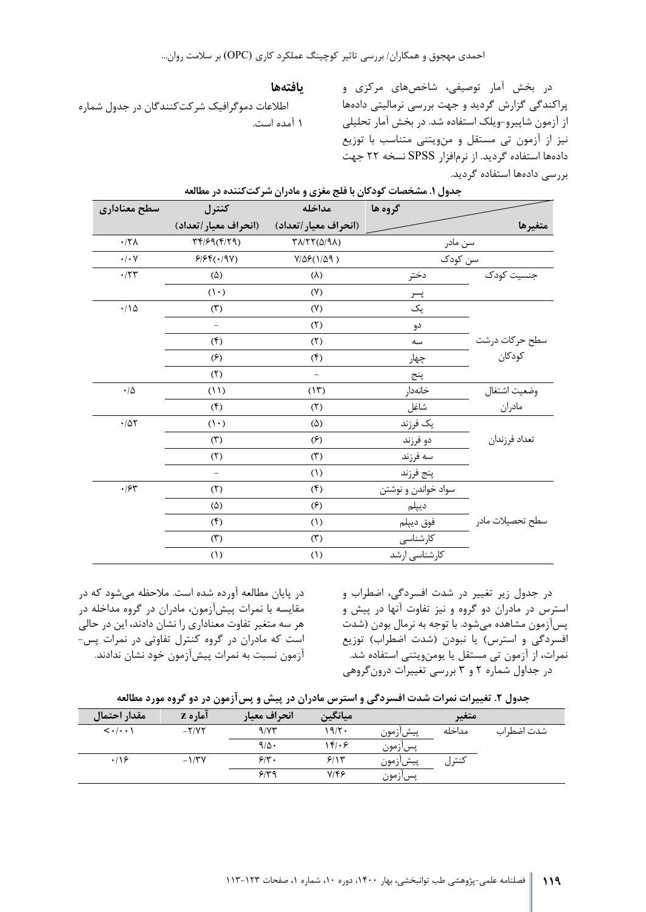#### **یافته ها**

اطلاعات دموگرافیک شرکت کنندگان در جدول شماره 1 آمده است.

در بخش آمار توصیفی، شاخص هاي مرکزي و پراکندگی گزارش گردید و جهت بررسی نرمالیتی داده ها از آزمون شاپیرو - ویلک استفاده شد. در بخش آمار تحلیلی نیز از آزمون تی مستقل و من ویتنی متناسب با توزیع داده ها استفاده گردید. از نرم افزار SPSS نسخه 22 جهت بررسی داده ها استفاده گردید .

| سطح معناداري                                                         | كنترل                                                                                     | مداخله                                                      | گروه ها             |                  |
|----------------------------------------------------------------------|-------------------------------------------------------------------------------------------|-------------------------------------------------------------|---------------------|------------------|
|                                                                      | (انحراف معيار/تعداد)                                                                      | (انحراف معيار /تعداد)                                       |                     | متغيرها          |
| $\cdot/\text{Y}\lambda$                                              | $\Upsilon \mathfrak{k}/\mathfrak{R} \mathfrak{q}(\mathfrak{k}/\mathfrak{k} \mathfrak{q})$ | $\Upsilon \Lambda / \Upsilon \Upsilon (\Delta / 9 \Lambda)$ | سن مادر             |                  |
|                                                                      | 9999(0.191)                                                                               | $V/\Delta \mathcal{F}(1/\Delta \mathcal{A})$                | سن کودک             |                  |
| $\boldsymbol{\cdot} / \boldsymbol{\curlyvee} \boldsymbol{\curlyvee}$ | $(\Delta)$                                                                                | $(\lambda)$                                                 | دختر                | جنسیت کودک       |
|                                                                      | $(1 \cdot)$                                                                               | (Y)                                                         | پسر<br>-            |                  |
| $\cdot/\Lambda$                                                      | (1)                                                                                       | (Y)                                                         | یک                  |                  |
|                                                                      | $\equiv$                                                                                  | (7)                                                         | دو                  |                  |
|                                                                      | (1)                                                                                       | (7)                                                         | سه                  | سطح حركات درشت   |
|                                                                      | $(\hat{z})$                                                                               | (1)                                                         | چهار                | كودكان           |
|                                                                      | (1)                                                                                       |                                                             | پنج                 |                  |
| $\cdot/\Delta$                                                       | (11)                                                                                      | (11)                                                        | خانەدار             | وضعيت اشتغال     |
|                                                                      | (1)                                                                                       | (1)                                                         | شاغل                | مادران           |
| $\cdot/\Delta\Upsilon$                                               | $(1 \cdot)$                                                                               | $(\Delta)$                                                  | يک فرزند            |                  |
|                                                                      | (1)                                                                                       | $(\hat{z})$                                                 | دو فرزند            | تعداد فرزندان    |
|                                                                      | (7)                                                                                       | (1)                                                         | سه فرزند            |                  |
|                                                                      | $\qquad \qquad -$                                                                         | (1)                                                         | پنج فرزند           |                  |
| $\cdot$ $/$ ۶۳                                                       | (7)                                                                                       | (1)                                                         | سواد خواندن و نوشتن |                  |
|                                                                      | $(\Delta)$                                                                                | $(\mathcal{F})$                                             | ديپلم               |                  |
|                                                                      | (1)                                                                                       | (1)                                                         | فوق ديپلم           | سطح تحصيلات مادر |
|                                                                      | (1)                                                                                       | $(\tilde{\mathbf{r}})$                                      | كارشناسى            |                  |
|                                                                      | (1)                                                                                       | (1)                                                         | کارشناسی ارشد       |                  |

|  |  |  |  |  |  | جدول ۱. مشخصات کودکان با فلج مغزی و مادران شرکتکننده در مطالعه |  |
|--|--|--|--|--|--|----------------------------------------------------------------|--|
|--|--|--|--|--|--|----------------------------------------------------------------|--|

در پایان مطالعه آورده شده است. ملاحظه می شود که در مقایسه با نمرات پیش آزمون، مادران در گروه مداخله در هر سه متغیر تفاوت معناداري را نشان دادند ، این در حالی است که مادران در گروه کنترل تفاوتی در نمرات پس - آزمون نسبت به نمرات پیش آزمون خود نشان ندادند.

در جدول زیر تغییر در شدت افسردگی، اضطراب و استرس در مادران دو گروه و نیز تفاوت آنها در پیش و پس آزمون مشاهده می شود. با توجه به نرمال بودن (شدت افسردگی و استرس) یا نبودن (شدت اضطراب) توزیع نمرات، از آزمون تی مستقل یا یومن ویتنی استفاده شد. در جداول شماره 2 و 3 بررسی تغییرات د رو ن گروهی

| جدول ۲. تغییرات نمرات شدت افسردگی و استرس مادران در پیش و پسآزمون در دو گروه مورد مطالعه |  |  |  |  |  |
|------------------------------------------------------------------------------------------|--|--|--|--|--|
|------------------------------------------------------------------------------------------|--|--|--|--|--|

| مقدار احتمال                          | اماره Z     | انحراف معيار | ميانگين |          | متغير  |            |
|---------------------------------------|-------------|--------------|---------|----------|--------|------------|
| $\langle \cdot   \cdot \cdot \rangle$ | $-Y/VT$     | 9/77         | ۱۹۱۲۰   | پيش زمون | مداخله | شدت اضطراب |
|                                       |             | 9/0.         | ۱۴۱۰۶   | پسازمون  |        |            |
| .19                                   | $-1/\tau V$ | $5\%$        | 5/15    | پيش زمون | كنترل  |            |
|                                       |             | ۶۳۹          | $Y/\xi$ | پسازمون  |        |            |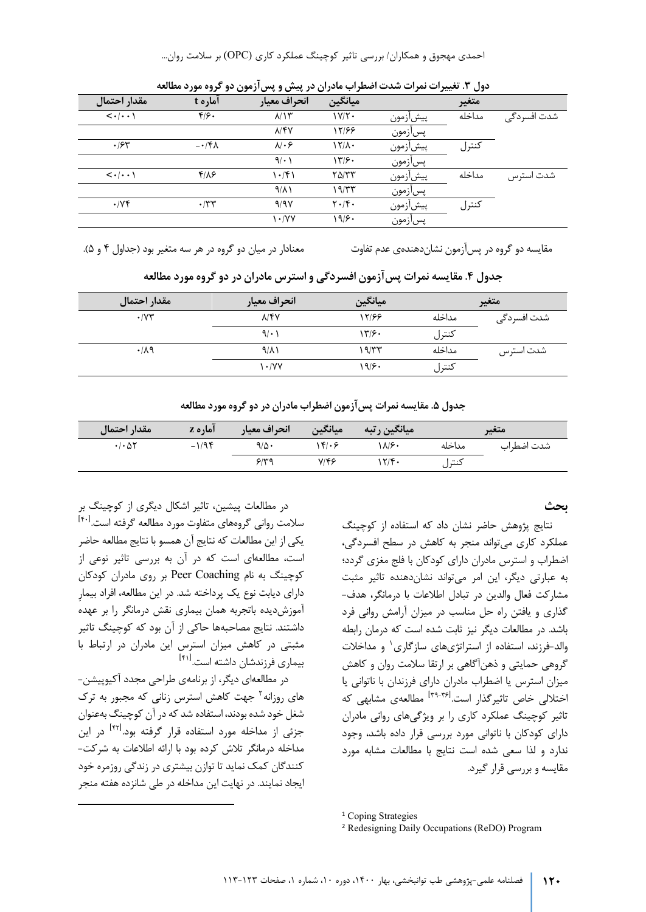احمدي مهجوق و همکاران/ بررسی تاثیر کوچینگ عملکرد کاري (OPC (بر سلامت روان...

|                                       |                       |                        | ້<br>. .                              |          | <i>.</i><br>- |             |
|---------------------------------------|-----------------------|------------------------|---------------------------------------|----------|---------------|-------------|
| مقدار احتمال                          | آماره t               | انحراف معيار           | ميانگين                               |          | متغير         |             |
| $\langle \cdot   \cdot \cdot \rangle$ | $f/\mathcal{F}$ .     | $\lambda/\lambda$      | $1Y/Y$ .                              | پيشازمون | مداخله        | شدت افسردگی |
|                                       |                       | <b>NYY</b>             | 12168                                 | پسازمون  |               |             |
| .75                                   | $-\cdot$ /۴ $\Lambda$ | $\lambda$ . $\epsilon$ | ۱۲/۸۰                                 | پيشازمون | كنترل         |             |
|                                       |                       | 9/1                    | ۱۳۱۶۰                                 | پسازمون  |               |             |
| $\langle \cdot   \cdot \cdot \rangle$ | $f/\lambda$ ۶         | $\cdot$ /۴۱            | $Y\Delta/YY$                          | پيشازمون | مداخله        | شدت استرس   |
|                                       |                       | $9/\lambda$            | ۱۹/۳۳                                 | پسآزمون  |               |             |
| $\cdot$ / $\vee$ $\circ$              | $\cdot$ /٣٣           | 9/9V                   | $\mathbf{Y} \cdot / \mathbf{Y} \cdot$ | پيشازمون | كنترل         |             |
|                                       |                       | $\cdot$ /YY            | ۱۹۱۶۰                                 | پسازمون  |               |             |

**دول .3 تغییرات نمرات شدت اضطراب مادران در پیش و پس آزمون دو گروه مورد مطالعه** 

مقایسه دو گروه در پسآزمون نشان دهندهی عدم تفاوت معنادار در میان دو گروه در هر سه متغیر بود (جداول ۴ و ۵).

| مقدار احتمال         | انحراف معيار     | ِ میانگین |        | متغير        |
|----------------------|------------------|-----------|--------|--------------|
| $\cdot$ / $\Upsilon$ | $\lambda$ /۴۷    | 17168     | مداخله | شدت افسر دگی |
|                      | 9/1              | ۱۳۶۰      | كنترل  |              |
| .74                  | $9/\lambda$      | ۱۹/۳۳     | مداخله | شدت استرس    |
|                      | $\mathcal{N}(V)$ | ۱۹۱۶۰     | كنترل  |              |

**جدول .4 مقایسه نمرات پس آزمون افسردگی و استرس مادران در دو گروه مورد مطالعه** 

**جدول .5 مقایسه نمرات پس آزمون اضطراب مادران در دو گروه مورد مطالعه** 

| مقدار احتمال                          | آماره z  | انحراف معيار | میانگین      | ا میانگین رتبه |        | متغير      |
|---------------------------------------|----------|--------------|--------------|----------------|--------|------------|
| $\cdot$ / $\cdot$ $\Delta$ $\Upsilon$ | $-1/9$ ۴ | ۹/۵۰         | ۱۴۱۰۶        | ۱۸۱۶۰          | مداخله | شدت اضطراب |
|                                       |          | 9/49         | $Y/\sqrt{2}$ | 17/9           | كنترل  |            |

#### **بحث**

نتایج پژوهش حاضر نشان داد که استفاده از کوچینگ عملکرد کاري می تواند منجر به کاهش در سطح افسردگی، اضطراب و استرس مادران داراي کودکان با فلج مغزي گردد ؛ به عبارتی دیگر، این امر می تواند نشان دهنده تاثیر مثبت مشارکت فعال والدین در تبادل اطلاعات با درمانگر، هدف - گذاري و یافتن راه حل مناسب در میزان آرامش روانی فرد باشد. در مطالعات دیگر نیز ثابت شده است که درمان رابطه والد-فرزند، استفاده از استراتژي هاي سازگاري<sup>۱</sup> و مداخلات گر وهی حمایتی و ذهن آگاهی بر ارتقا سلامت روان و کاهش میزان استرس یا اضطراب مادران داراي فرزندان با ناتوانی یا اختلالی خاص تاثیرگذار است.<sup>[ ۳۹-۴۶]</sup> مطالعهی مشابهی که تاثیر کوچینگ عملکرد کاري را بر ویژگی هاي روانی مادران داراي کودکان با ناتوانی مورد بررسی قرار داده باشد، وجود ندارد و لذا سعی شده است نتایج با مطالعات مشابه مورد مقایسه و بررسی قرار گیرد .

در مطالعات پیشین ، تاثیر اشکال دیگري از کوچینگ بر سلامت روانی گروههای متفاوت مورد مطالعه گرفته است.<sup>[۴۰]</sup> یکی از این مطالعات که نتایج آن همسو با نتایج مطالعه حاضر است، مطالعهای است که در آن به بررسی تاثیر نوعی از کوچینگ به نام Coaching Peer بر روي مادران کودکان داراي دیابت نوع یک پرداخته شد. در این مطالعه ، افراد بیمارِ آموزش دیده باتجربه همان بی ماري نقش درمانگر را بر عهده داشتند. نتایج مصاحبه ها حاکی از آن بود که کوچینگ تاثیر مثبتی در کاهش میزان استرس این مادران در ارتباط با بیماری فرزندشان داشته است.<sup>[۴۱]</sup>

<span id="page-7-0"></span>در مطالعهای دیگر، از برنامهی طراحی مجدد آکیوپیشن-های روزانه<sup>۲</sup> جهت کاهش استرس زنانی که مجبور به ترک شغل خود شده بودند، استفاده شد که در آن کوچینگ به عنوان جزئی از مداخله مورد استفاده قرار گرفته بود.<sup>[۴۲]</sup> در این مداخله درمانگر تلاش کرده بود با ارائه اطلاعات به شرکت - کنندگان کمک نماید تا توازن بیشتري در زندگی روزمره خود ایجاد نمایند. در نهایت این مداخله در طی شانزده هفته منجر

<sup>&</sup>lt;sup>[1](#page-7-0)</sup> Coping Strategies

<sup>2</sup> Redesigning Daily Occupations (ReDO) Program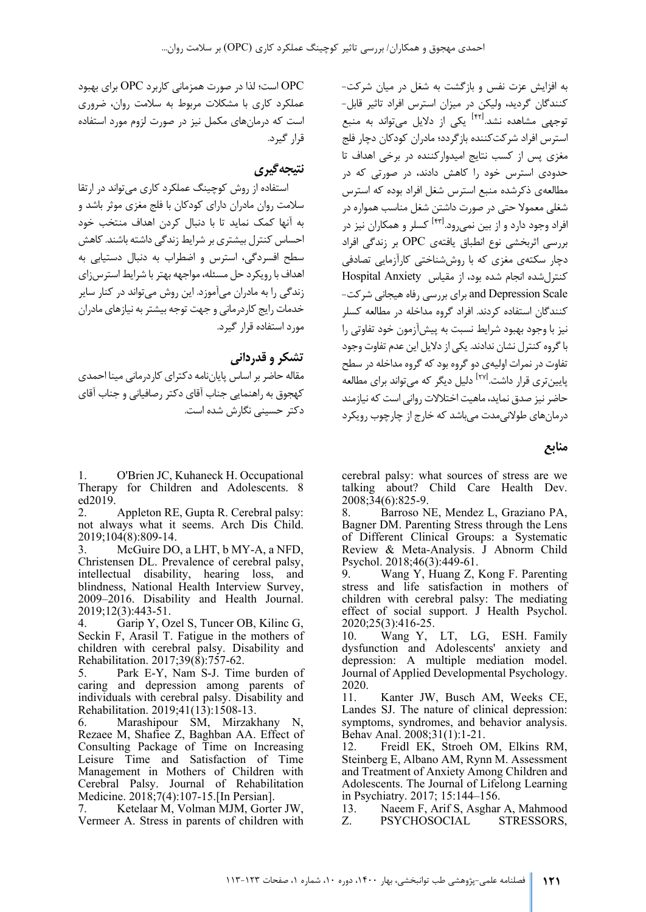به افزایش عزت نفس و بازگشت به شغل در میان شرکت - کنندگان گردید ، ولیکن در میزان استرس افراد تاثیر قابل - ی از دلایل می تواند به منبع<br>توجهی مشاهده نشد.<sup>[۴۲]</sup> یکی از دلایل میتواند به منبع استرس افراد شرکت کننده بازگردد ؛ مادران کودکان دچار فلج مغزي پس از کسب نتایج امیدوار کننده در برخی اهداف تا حدودي استرس خود را کاهش دادند ، در صورتی که در مطالعه ي ذکرشده منبع استرس شغل افراد بوده که استرس شغلی معمولا حتی در صورت داشتن شغل مناسب همواره در افراد وجود دارد و از بین نمی رود.<sup>[۴۲]</sup> کسلر و همکاران نیز در بررسی اثربخشی نوع انطباق یافته ي OPC بر زندگی افراد دچار سکته ي مغزي که با روش شناختی کارآزمایی تصادفی کنترل شده انجام شده بود، از مقیاس Anxiety Hospital Scale Depression and براي بررسی رفاه هیجانی شرکت - ک نندگان استفاده کردند. افراد گروه مداخله در مطالعه کسلر نیز با وجود بهبود شرایط نسبت به پیش آزمون خود تفاوتی را با گروه کنترل نشان ندادند. یکی از دلایل این عدم تفاوت وجود تفاوت در نمرات اولیه ي دو گروه بود که گروه مداخله در سطح یایین تری قرار داشت.<sup>[۲۷]</sup> دلیل دیگر که می تواند برای مطالعه حاضر نیز صدق نماید ، ماهیت اختلالات روانی است که نیازمند درمان هاي طولانی مدت می باشد که خارج از چارچوب رویکرد

**منابع** 

cerebral palsy: what sources of stress are we talking about? Child Care Health Dev. 2008;34(6):825-9.

8. Barroso NE, Mendez L, Graziano PA, Bagner DM. Parenting Stress through the Lens of Different Clinical Groups: a Systematic Review & Meta-Analysis. J Abnorm Child Psychol. 2018;46(3):449-61.<br>9. Wang Y. Huang Z.

9. Wang Y, Huang Z, Kong F. Parenting stress and life satisfaction in mothers of children with cerebral palsy: The mediating effect of social support. J Health Psychol. 2020;25(3):416-25.

10. Wang Y, LT, LG, ESH. Family dysfunction and Adolescents' anxiety and depression: A multiple mediation model. Journal of Applied Developmental Psychology. 2020.

11. Kanter JW, Busch AM, Weeks CE, Landes SJ. The nature of clinical depression: symptoms, syndromes, and behavior analysis. Behav Anal. 2008;31(1):1-21.

12. Freidl EK, Stroeh OM, Elkins RM, Steinberg E, Albano AM, Rynn M. Assessment and Treatment of Anxiety Among Children and Adolescents. The Journal of Lifelong Learning in Psychiatry. 2017; 15:144–156.

13. Naeem F, Arif S, Asghar A, Mahmood Z. PSYCHOSOCIAL STRESSORS,

OPC است ؛ لذا در صورت همزمانی کاربرد OPC براي بهبود عملکرد کاري با مشکلات مربوط به سلامت روان، ضروري است که درمان هاي مکمل نیز در صورت لزوم مورد استفاده قرار گیرد.

# **نتیجه گیري**

استفاده از روش کوچینگ عملکرد کاري می تواند در ارتقا سلامت روان مادران داراي کودکان با فلج مغزي موثر باشد و به آنها کمک نماید تا با دنبال کردن اهداف منتخب خود احساس کنترل بیشتر ي بر شرایط زندگی داشته باشند. کاهش سطح افسردگی، استرس و اضطراب به دنبال دستیابی به اهداف با رویکرد حل مسئله، مواجهه بهتر با شرایط استرس زاي زندگی را به مادران می آموزد. این روش می تواند در کنار سایر خدمات رایج کاردرمانی و جهت توجه بیشتر به نیازهاي مادران مورد استفاده قرار گیرد.

## **تشکر و قدردانی**

مقاله حاضر بر اساس پایان نامه دکتراي کاردرمانی مینا احمدي کهجوق به راهنمایی جناب آقاي دکتر رصافیانی و جناب آقاي دکتر حسینی نگارش شده است.

1. O'Brien JC, Kuhaneck H. Occupational Therapy for Children and Adolescents. 8 ed2019.

2. Appleton RE, Gupta R. Cerebral palsy: not always what it seems. Arch Dis Child. 2019;104(8):809-14.

3. McGuire DO, a LHT, b MY-A, a NFD, Christensen DL. Prevalence of cerebral palsy, intellectual disability, hearing loss, and blindness, National Health Interview Survey, 2009–2016. Disability and Health Journal. 2019;12(3):443-51.

4. Garip Y, Ozel S, Tuncer OB, Kilinc G, Seckin F, Arasil T. Fatigue in the mothers of children with cerebral palsy. Disability and Rehabilitation. 2017;39(8):757-62.

5. Park E-Y, Nam S-J. Time burden of caring and depression among parents of individuals with cerebral palsy. Disability and Rehabilitation. 2019;41(13):1508-13.

6. Marashipour SM, Mirzakhany N, Rezaee M, Shafiee Z, Baghban AA. Effect of Consulting Package of Time on Increasing Leisure Time and Satisfaction of Time Management in Mothers of Children with Cerebral Palsy. Journal of Rehabilitation Medicine. 2018;7(4):107-15.[In Persian].

7. Ketelaar M, Volman MJM, Gorter JW, Vermeer A. Stress in parents of children with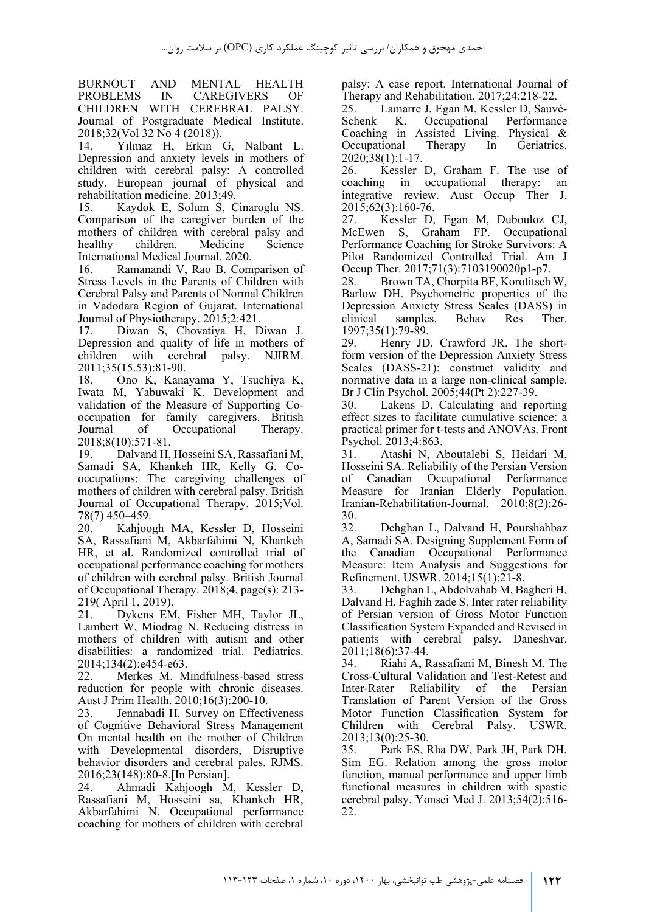BURNOUT AND MENTAL HEALTH PROBLEMS IN CAREGIVERS OF CHILDREN WITH CEREBRAL PALSY. Journal of Postgraduate Medical Institute. 2018;32(Vol 32 No 4 (2018)).

14. Yılmaz H, Erkin G, Nalbant L. Depression and anxiety levels in mothers of children with cerebral palsy: A controlled study. European journal of physical and rehabilitation medicine. 2013;49.<br>15. Kaydok E. Solum S. C

15. Kaydok E, Solum S, Cinaroglu NS. Comparison of the caregiver burden of the mothers of children with cerebral palsy and<br>healthy children. Medicine Science Medicine. International Medical Journal. 2020.<br>16. Ramanandi V. Rao B. Com

Ramanandi V, Rao B. Comparison of Stress Levels in the Parents of Children with Cerebral Palsy and Parents of Normal Children in Vadodara Region of Gujarat. International Journal of Physiotherapy. 2015;2:421.

17. Diwan S, Chovatiya H, Diwan J. Depression and quality of life in mothers of children with cerebral palsy. NJIRM. 2011;35(15.53):81-90.

18. Ono K, Kanayama Y, Tsuchiya K, Iwata M, Yabuwaki K. Development and validation of the Measure of Supporting Cooccupation for family caregivers. British<br>Journal of Occupational Therapy. of Occupational 2018;8(10):571-81.

19. Dalvand H, Hosseini SA, Rassafiani M, Samadi SA, Khankeh HR, Kelly G. Cooccupations: The caregiving challenges of mothers of children with cerebral palsy. British Journal of Occupational Therapy. 2015;Vol.

78(7) 450–459.<br>20. Kahjoo Kahjoogh MA, Kessler D, Hosseini SA, Rassafiani M, Akbarfahimi N, Khankeh HR, et al. Randomized controlled trial of occupational performance coaching for mothers of children with cerebral palsy. British Journal of Occupational Therapy. 2018;4, page(s): 213- 219( April 1, 2019).<br>21. Dykens EM

21. Dykens EM, Fisher MH, Taylor JL, Lambert W, Miodrag N. Reducing distress in mothers of children with autism and other disabilities: a randomized trial. Pediatrics. 2014;134(2):e454-e63.

22. Merkes M. Mindfulness-based stress reduction for people with chronic diseases. Aust J Prim Health. 2010;16(3):200-10.

23. Jennabadi H. Survey on Effectiveness of Cognitive Behavioral Stress Management On mental health on the mother of Children with Developmental disorders, Disruptive behavior disorders and cerebral pales. RJMS. 2016;23(148):80-8.[In Persian].

24. Ahmadi Kahjoogh M, Kessler D, Rassafiani M, Hosseini sa, Khankeh HR, Akbarfahimi N. Occupational performance coaching for mothers of children with cerebral

palsy: A case report. International Journal of Therapy and Rehabilitation. 2017;24:218-22.

25. Lamarre J, Egan M, Kessler D, Sauvé-Schenk K. Occupational Performance Coaching in Assisted Living. Physical & Occupational Therapy In Geriatrics.

2020;38(1):1-17.<br>26. Kessler 26. Kessler D, Graham F. The use of coaching in occupational therapy: an occupational therapy: an integrative review. Aust Occup Ther J. 2015;62(3):160-76.<br>27. Kessler D.

Kessler D, Egan M, Dubouloz CJ, McEwen S, Graham FP. Occupational Performance Coaching for Stroke Survivors: A Pilot Randomized Controlled Trial. Am J Occup Ther. 2017;71(3):7103190020p1-p7.

28. Brown TA, Chorpita BF, Korotitsch W, Barlow DH. Psychometric properties of the Depression Anxiety Stress Scales (DASS) in clinical samples. Behav Res Ther. 1997;35(1):79-89.

29. Henry JD, Crawford JR. The shortform version of the Depression Anxiety Stress Scales (DASS-21): construct validity and normative data in a large non-clinical sample. Br J Clin Psychol. 2005;44(Pt 2):227-39.

30. Lakens D. Calculating and reporting effect sizes to facilitate cumulative science: a practical primer for t-tests and ANOVAs. Front Psychol. 2013;4:863.

31. Atashi N, Aboutalebi S, Heidari M, Hosseini SA. Reliability of the Persian Version of Canadian Occupational Performance Measure for Iranian Elderly Population. Iranian-Rehabilitation-Journal. 2010;8(2):26-

 $30.32.$ 32. Dehghan L, Dalvand H, Pourshahbaz A, Samadi SA. Designing Supplement Form of the Canadian Occupational Performance Measure: Item Analysis and Suggestions for Refinement. USWR. 2014;15(1):21-8.

33. Dehghan L, Abdolvahab M, Bagheri H, Dalvand H, Faghih zade S. Inter rater reliability of Persian version of Gross Motor Function Classification System Expanded and Revised in patients with cerebral palsy. Daneshvar.

2011;18(6):37-44.<br>34. Riahi A. R 34. Riahi A, Rassafiani M, Binesh M. The Cross-Cultural Validation and Test-Retest and Inter-Rater Reliability of the Persian Translation of Parent Version of the Gross Motor Function Classification System for Children with Cerebral Palsy. USWR. 2013;13(0):25-30.

35. Park ES, Rha DW, Park JH, Park DH, Sim EG. Relation among the gross motor function, manual performance and upper limb functional measures in children with spastic cerebral palsy. Yonsei Med J. 2013;54(2):516- 22.